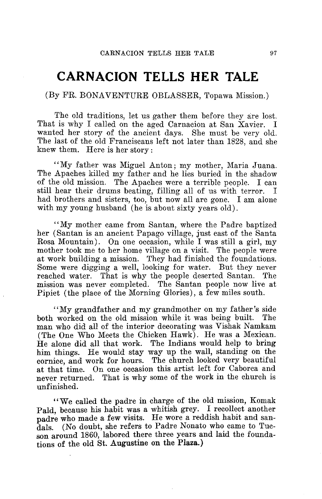## **CARNACION TELLS HER TALE**

## (By FR. BONAVENTURE OBLASSER, Topawa Mission.)

The old traditions, let us gather them before they are lost. That is why I called on the aged Carnacion at San Xavier. I wanted her story of the ancient days. She must be very old. The last of the old Franciscans left not later than 1828, and she knew them. Here is her story :

"My father was Miguel Anton ; my mother, Maria Juana. The Apaches killed my father and he lies buried in the shadow of the old mission. The Apaches were a terrible people. I can still hear their drums beating, filling all of us with terror. had brothers and sisters, too, but now all are gone. I am alone with my young husband (he is about sixty years old).

"My mother came from Santan, where the Padre baptized her (Santan is an ancient Papago village, just east of the Santa Rosa Mountain). On one occasion, while I was still a girl,  $my$ mother took me to her home village on a visit. The people were at work building a mission. They had finished the foundations. Some were digging a well, looking for water. But they never reached water. That is why the people deserted Santan. The reached water. That is why the people deserted Santan. mission was never completed. The Santan people now live at Pipiet (the place of the Morning Glories), a few miles south.

"My grandfather and my grandmother on my father's side both worked on the old mission while it was being built. The man who did all of the interior decorating was Vishak Namkam (The One Who Meets the Chicken Hawk). He was a Mexican. He alone did all that work. The Indians would help to bring him things. He would stay way up the wall, standing on the cornice, and work for hours. The church looked very beautiful at that time. On one occasion this artist left for Caborca and never returned. That is why some of the work in the church is unfinished

"We called the padre in charge of the old mission, Komak Pald, because his habit was a whitish grey. I recollect another padre who made a few visits. He wore a reddish habit and san-<br>dals. (No doubt, she refers to Padre Nonato who came to Tue-(No doubt, she refers to Padre Nonato who came to Tucson around 1860, labored there three years and laid the foundations of the old St. Augustine on the Plaza.)